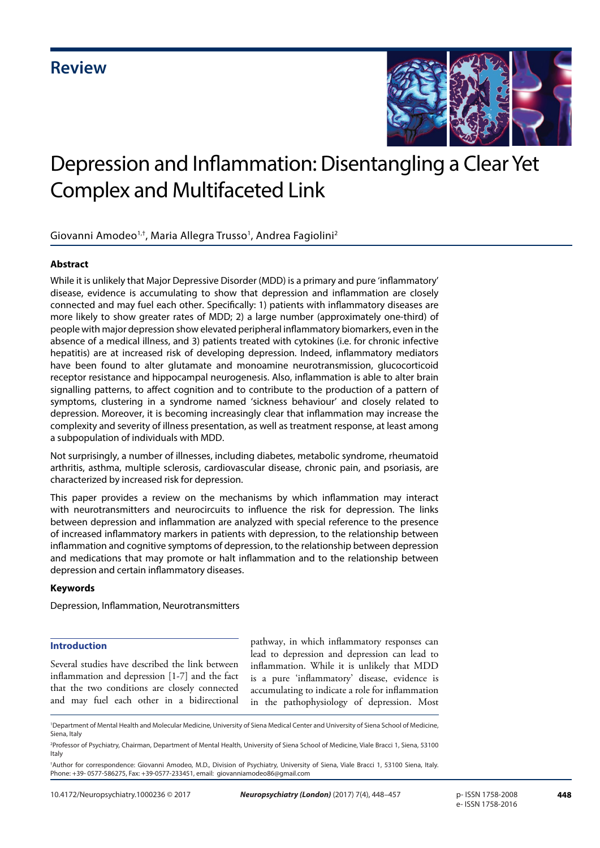

# Depression and Inflammation: Disentangling a Clear Yet Complex and Multifaceted Link

Giovanni Amodeo<sup>1,†</sup>, Maria Allegra Trusso<sup>1</sup>, Andrea Fagiolini<sup>2</sup>

# **Abstract**

While it is unlikely that Major Depressive Disorder (MDD) is a primary and pure 'inflammatory' disease, evidence is accumulating to show that depression and inflammation are closely connected and may fuel each other. Specifically: 1) patients with inflammatory diseases are more likely to show greater rates of MDD; 2) a large number (approximately one-third) of people with major depression show elevated peripheral inflammatory biomarkers, even in the absence of a medical illness, and 3) patients treated with cytokines (i.e. for chronic infective hepatitis) are at increased risk of developing depression. Indeed, inflammatory mediators have been found to alter glutamate and monoamine neurotransmission, glucocorticoid receptor resistance and hippocampal neurogenesis. Also, inflammation is able to alter brain signalling patterns, to affect cognition and to contribute to the production of a pattern of symptoms, clustering in a syndrome named 'sickness behaviour' and closely related to depression. Moreover, it is becoming increasingly clear that inflammation may increase the complexity and severity of illness presentation, as well as treatment response, at least among a subpopulation of individuals with MDD.

Not surprisingly, a number of illnesses, including diabetes, metabolic syndrome, rheumatoid arthritis, asthma, multiple sclerosis, cardiovascular disease, chronic pain, and psoriasis, are characterized by increased risk for depression.

This paper provides a review on the mechanisms by which inflammation may interact with neurotransmitters and neurocircuits to influence the risk for depression. The links between depression and inflammation are analyzed with special reference to the presence of increased inflammatory markers in patients with depression, to the relationship between inflammation and cognitive symptoms of depression, to the relationship between depression and medications that may promote or halt inflammation and to the relationship between depression and certain inflammatory diseases.

#### **Keywords**

Depression, Inflammation, Neurotransmitters

# **Introduction**

Several studies have described the link between inflammation and depression [1-7] and the fact that the two conditions are closely connected and may fuel each other in a bidirectional pathway, in which inflammatory responses can lead to depression and depression can lead to inflammation. While it is unlikely that MDD is a pure 'inflammatory' disease, evidence is accumulating to indicate a role for inflammation in the pathophysiology of depression. Most

<sup>1</sup> Department of Mental Health and Molecular Medicine, University of Siena Medical Center and University of Siena School of Medicine, Siena, Italy

<sup>2</sup> Professor of Psychiatry, Chairman, Department of Mental Health, University of Siena School of Medicine, Viale Bracci 1, Siena, 53100 Italy

<sup>†</sup> Author for correspondence: Giovanni Amodeo, M.D., Division of Psychiatry, University of Siena, Viale Bracci 1, 53100 Siena, Italy. Phone: +39- 0577-586275, Fax: +39-0577-233451, email: giovanniamodeo86@gmail.com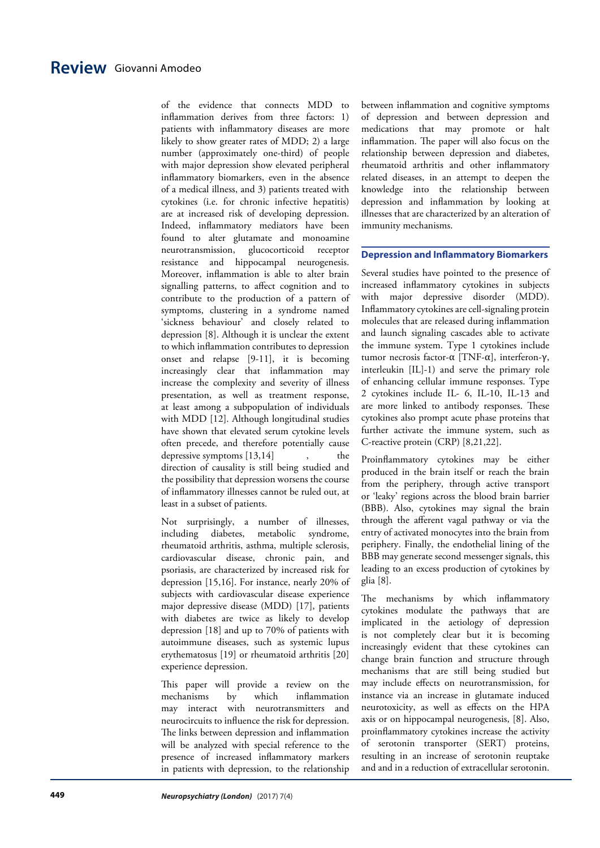of the evidence that connects MDD to inflammation derives from three factors: 1) patients with inflammatory diseases are more likely to show greater rates of MDD; 2) a large number (approximately one-third) of people with major depression show elevated peripheral inflammatory biomarkers, even in the absence of a medical illness, and 3) patients treated with cytokines (i.e. for chronic infective hepatitis) are at increased risk of developing depression. Indeed, inflammatory mediators have been found to alter glutamate and monoamine neurotransmission, glucocorticoid receptor resistance and hippocampal neurogenesis. Moreover, inflammation is able to alter brain signalling patterns, to affect cognition and to contribute to the production of a pattern of symptoms, clustering in a syndrome named 'sickness behaviour' and closely related to depression [8]. Although it is unclear the extent to which inflammation contributes to depression onset and relapse [9-11], it is becoming increasingly clear that inflammation may increase the complexity and severity of illness presentation, as well as treatment response, at least among a subpopulation of individuals with MDD [12]. Although longitudinal studies have shown that elevated serum cytokine levels often precede, and therefore potentially cause depressive symptoms  $[13,14]$ , the direction of causality is still being studied and the possibility that depression worsens the course of inflammatory illnesses cannot be ruled out, at least in a subset of patients.

Not surprisingly, a number of illnesses, including diabetes, metabolic syndrome, rheumatoid arthritis, asthma, multiple sclerosis, cardiovascular disease, chronic pain, and psoriasis, are characterized by increased risk for depression [15,16]. For instance, nearly 20% of subjects with cardiovascular disease experience major depressive disease (MDD) [17], patients with diabetes are twice as likely to develop depression [18] and up to 70% of patients with autoimmune diseases, such as systemic lupus erythematosus [19] or rheumatoid arthritis [20] experience depression.

This paper will provide a review on the mechanisms by which inflammation may interact with neurotransmitters and neurocircuits to influence the risk for depression. The links between depression and inflammation will be analyzed with special reference to the presence of increased inflammatory markers in patients with depression, to the relationship

between inflammation and cognitive symptoms of depression and between depression and medications that may promote or halt inflammation. The paper will also focus on the relationship between depression and diabetes, rheumatoid arthritis and other inflammatory related diseases, in an attempt to deepen the knowledge into the relationship between depression and inflammation by looking at illnesses that are characterized by an alteration of immunity mechanisms.

#### **Depression and Inflammatory Biomarkers**

Several studies have pointed to the presence of increased inflammatory cytokines in subjects with major depressive disorder (MDD). Inflammatory cytokines are cell-signaling protein molecules that are released during inflammation and launch signaling cascades able to activate the immune system. Type 1 cytokines include tumor necrosis factor-α [TNF-α], interferon-γ, interleukin [IL]-1) and serve the primary role of enhancing cellular immune responses. Type 2 cytokines include IL- 6, IL-10, IL-13 and are more linked to antibody responses. These cytokines also prompt acute phase proteins that further activate the immune system, such as C-reactive protein (CRP) [8,21,22].

Proinflammatory cytokines may be either produced in the brain itself or reach the brain from the periphery, through active transport or 'leaky' regions across the blood brain barrier (BBB). Also, cytokines may signal the brain through the afferent vagal pathway or via the entry of activated monocytes into the brain from periphery. Finally, the endothelial lining of the BBB may generate second messenger signals, this leading to an excess production of cytokines by glia [8].

The mechanisms by which inflammatory cytokines modulate the pathways that are implicated in the aetiology of depression is not completely clear but it is becoming increasingly evident that these cytokines can change brain function and structure through mechanisms that are still being studied but may include effects on neurotransmission, for instance via an increase in glutamate induced neurotoxicity, as well as effects on the HPA axis or on hippocampal neurogenesis, [8]. Also, proinflammatory cytokines increase the activity of serotonin transporter (SERT) proteins, resulting in an increase of serotonin reuptake and and in a reduction of extracellular serotonin.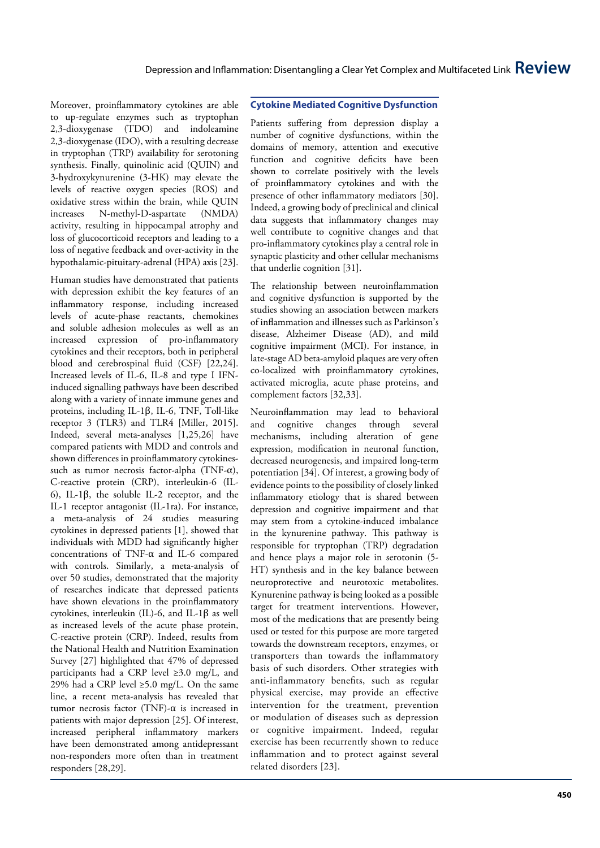Moreover, proinflammatory cytokines are able to up-regulate enzymes such as tryptophan 2,3-dioxygenase (TDO) and indoleamine 2,3-dioxygenase (IDO), with a resulting decrease in tryptophan (TRP) availability for serotoning synthesis. Finally, quinolinic acid (QUIN) and 3-hydroxykynurenine (3-HK) may elevate the levels of reactive oxygen species (ROS) and oxidative stress within the brain, while QUIN increases N-methyl-D-aspartate (NMDA) activity, resulting in hippocampal atrophy and loss of glucocorticoid receptors and leading to a loss of negative feedback and over-activity in the hypothalamic-pituitary-adrenal (HPA) axis [23].

Human studies have demonstrated that patients with depression exhibit the key features of an inflammatory response, including increased levels of acute-phase reactants, chemokines and soluble adhesion molecules as well as an increased expression of pro-inflammatory cytokines and their receptors, both in peripheral blood and cerebrospinal fluid (CSF) [22,24]. Increased levels of IL-6, IL-8 and type I IFNinduced signalling pathways have been described along with a variety of innate immune genes and proteins, including IL-1 β, IL-6, TNF, Toll-like receptor 3 (TLR3) and TLR4 [Miller, 2015]. Indeed, several meta-analyses [1,25,26] have compared patients with MDD and controls and shown differences in proinflammatory cytokinessuch as tumor necrosis factor-alpha (TNF- $\alpha$ ), C-reactive protein (CRP), interleukin-6 (IL-6), IL-1β, the soluble IL-2 receptor, and the IL-1 receptor antagonist (IL-1ra). For instance, a meta-analysis of 24 studies measuring cytokines in depressed patients [1], showed that individuals with MDD had significantly higher concentrations of TNF-α and IL-6 compared with controls. Similarly, a meta-analysis of over 50 studies, demonstrated that the majority of researches indicate that depressed patients have shown elevations in the proinflammatory cytokines, interleukin (IL)-6, and IL-1 β as well as increased levels of the acute phase protein, C-reactive protein (CRP). Indeed, results from the National Health and Nutrition Examination Survey [27] highlighted that 47% of depressed participants had a CRP level ≥3.0 mg/L, and 29% had a CRP level ≥5.0 mg/L. On the same line, a recent meta-analysis has revealed that tumor necrosis factor (TNF)- $\alpha$  is increased in patients with major depression [25]. Of interest, increased peripheral inflammatory markers have been demonstrated among antidepressant non-responders more often than in treatment responders [28,29].

# **Cytokine Mediated Cognitive Dysfunction**

Patients suffering from depression display a number of cognitive dysfunctions, within the domains of memory, attention and executive function and cognitive deficits have been shown to correlate positively with the levels of proinflammatory cytokines and with the presence of other inflammatory mediators [30]. Indeed, a growing body of preclinical and clinical data suggests that inflammatory changes may well contribute to cognitive changes and that pro-inflammatory cytokines play a central role in synaptic plasticity and other cellular mechanisms that underlie cognition [31].

The relationship between neuroinflammation and cognitive dysfunction is supported by the studies showing an association between markers of inflammation and illnesses such as Parkinson's disease, Alzheimer Disease (AD), and mild cognitive impairment (MCI). For instance, in late-stage AD beta-amyloid plaques are very often co-localized with proinflammatory cytokines, activated microglia, acute phase proteins, and complement factors [32,33].

Neuroinflammation may lead to behavioral and cognitive changes through several mechanisms, including alteration of gene expression, modification in neuronal function, decreased neurogenesis, and impaired long-term potentiation [34]. Of interest, a growing body of evidence points to the possibility of closely linked inflammatory etiology that is shared between depression and cognitive impairment and that may stem from a cytokine-induced imbalance in the kynurenine pathway. This pathway is responsible for tryptophan (TRP) degradation and hence plays a major role in serotonin (5- HT) synthesis and in the key balance between neuroprotective and neurotoxic metabolites. Kynurenine pathway is being looked as a possible target for treatment interventions. However, most of the medications that are presently being used or tested for this purpose are more targeted towards the downstream receptors, enzymes, or transporters than towards the inflammatory basis of such disorders. Other strategies with anti-inflammatory benefits, such as regular physical exercise, may provide an effective intervention for the treatment, prevention or modulation of diseases such as depression or cognitive impairment. Indeed, regular exercise has been recurrently shown to reduce inflammation and to protect against several related disorders [23].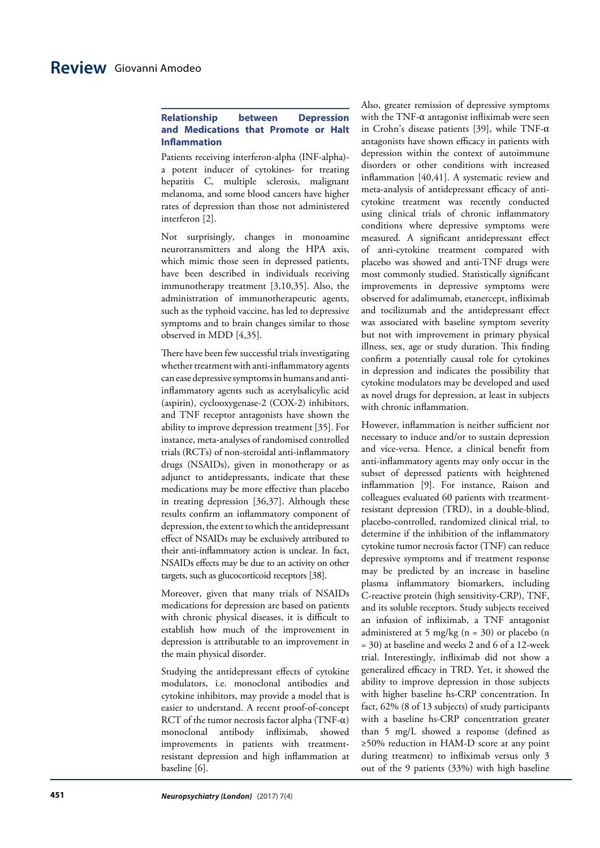# **Relationship between Depression and Medications that Promote or Halt Inflammation**

Patients receiving interferon-alpha (INF-alpha) a potent inducer of cytokines- for treating hepatitis C, multiple sclerosis, malignant melanoma, and some blood cancers have higher rates of depression than those not administered interferon [2].

Not surprisingly, changes in monoamine neurotransmitters and along the HPA axis, which mimic those seen in depressed patients, have been described in individuals receiving immunotherapy treatment [3,10,35]. Also, the administration of immunotherapeutic agents, such as the typhoid vaccine, has led to depressive symptoms and to brain changes similar to those observed in MDD [4,35].

There have been few successful trials investigating whether treatment with anti-inflammatory agents can ease depressive symptoms in humans and antiinflammatory agents such as acetylsalicylic acid (aspirin), cyclooxygenase-2 (COX-2) inhibitors, and TNF receptor antagonists have shown the ability to improve depression treatment [35]. For instance, meta-analyses of randomised controlled trials (RCTs) of non-steroidal anti-inflammatory drugs (NSAIDs), given in monotherapy or as adjunct to antidepressants, indicate that these medications may be more effective than placebo in treating depression [36,37]. Although these results confirm an inflammatory component of depression, the extent to which the antidepressant effect of NSAIDs may be exclusively attributed to their anti-inflammatory action is unclear. In fact, NSAIDs effects may be due to an activity on other targets, such as glucocorticoid receptors [38].

Moreover, given that many trials of NSAIDs medications for depression are based on patients with chronic physical diseases, it is difficult to establish how much of the improvement in depression is attributable to an improvement in the main physical disorder.

Studying the antidepressant effects of cytokine modulators, i.e. monoclonal antibodies and cytokine inhibitors, may provide a model that is easier to understand. A recent proof-of-concept RCT of the tumor necrosis factor alpha (TNF- $\alpha$ ) monoclonal antibody infliximab, showed improvements in patients with treatmentresistant depression and high inflammation at baseline [6].

Also, greater remission of depressive symptoms with the TNF- $\alpha$  antagonist infliximab were seen in Crohn's disease patients [39], while TNF-α antagonists have shown efficacy in patients with depression within the context of autoimmune disorders or other conditions with increased inflammation [40,41]. A systematic review and meta-analysis of antidepressant efficacy of anticytokine treatment was recently conducted using clinical trials of chronic inflammatory conditions where depressive symptoms were measured. A significant antidepressant effect of anti-cytokine treatment compared with placebo was showed and anti-TNF drugs were most commonly studied. Statistically significant improvements in depressive symptoms were observed for adalimumab, etanercept, infliximab and tocilizumab and the antidepressant effect was associated with baseline symptom severity but not with improvement in primary physical illness, sex, age or study duration. This finding confirm a potentially causal role for cytokines in depression and indicates the possibility that cytokine modulators may be developed and used as novel drugs for depression, at least in subjects with chronic inflammation.

However, inflammation is neither sufficient nor necessary to induce and/or to sustain depression and vice-versa. Hence, a clinical benefit from anti-inflammatory agents may only occur in the subset of depressed patients with heightened inflammation [9]. For instance, Raison and colleagues evaluated 60 patients with treatmentresistant depression (TRD), in a double-blind, placebo-controlled, randomized clinical trial, to determine if the inhibition of the inflammatory cytokine tumor necrosis factor (TNF) can reduce depressive symptoms and if treatment response may be predicted by an increase in baseline plasma inflammatory biomarkers, including C-reactive protein (high sensitivity-CRP), TNF, and its soluble receptors. Study subjects received an infusion of infliximab, a TNF antagonist administered at 5 mg/kg ( $n = 30$ ) or placebo (n = 30) at baseline and weeks 2 and 6 of a 12-week trial. Interestingly, infliximab did not show a generalized efficacy in TRD. Yet, it showed the ability to improve depression in those subjects with higher baseline hs-CRP concentration. In fact, 62% (8 of 13 subjects) of study participants with a baseline hs-CRP concentration greater than 5 mg/L showed a response (defined as ≥50% reduction in HAM-D score at any point during treatment) to infliximab versus only 3 out of the 9 patients (33%) with high baseline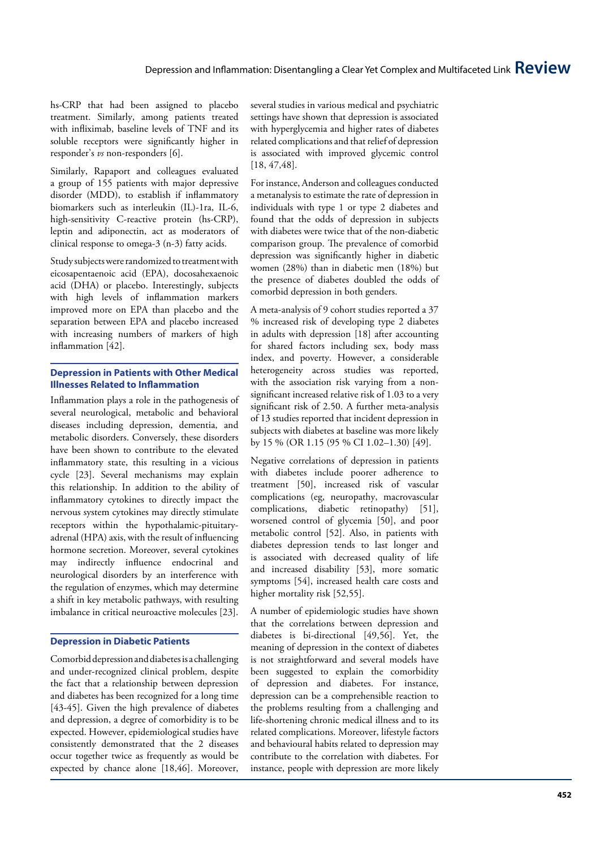hs-CRP that had been assigned to placebo treatment. Similarly, among patients treated with infliximab, baseline levels of TNF and its soluble receptors were significantly higher in responder's *vs* non-responders [6].

Similarly, Rapaport and colleagues evaluated a group of 155 patients with major depressive disorder (MDD), to establish if inflammatory biomarkers such as interleukin (IL)-1ra, IL-6, high-sensitivity C-reactive protein (hs-CRP), leptin and adiponectin, act as moderators of clinical response to omega-3 (n-3) fatty acids.

Study subjects were randomized to treatment with eicosapentaenoic acid (EPA), docosahexaenoic acid (DHA) or placebo. Interestingly, subjects with high levels of inflammation markers improved more on EPA than placebo and the separation between EPA and placebo increased with increasing numbers of markers of high inflammation [42].

### **Depression in Patients with Other Medical Illnesses Related to Inflammation**

Inflammation plays a role in the pathogenesis of several neurological, metabolic and behavioral diseases including depression, dementia, and metabolic disorders. Conversely, these disorders have been shown to contribute to the elevated inflammatory state, this resulting in a vicious cycle [23]. Several mechanisms may explain this relationship. In addition to the ability of inflammatory cytokines to directly impact the nervous system cytokines may directly stimulate receptors within the hypothalamic-pituitaryadrenal (HPA) axis, with the result of influencing hormone secretion. Moreover, several cytokines may indirectly influence endocrinal and neurological disorders by an interference with the regulation of enzymes, which may determine a shift in key metabolic pathways, with resulting imbalance in critical neuroactive molecules [23].

#### **Depression in Diabetic Patients**

Comorbid depression and diabetes is a challenging and under-recognized clinical problem, despite the fact that a relationship between depression and diabetes has been recognized for a long time [43-45]. Given the high prevalence of diabetes and depression, a degree of comorbidity is to be expected. However, epidemiological studies have consistently demonstrated that the 2 diseases occur together twice as frequently as would be expected by chance alone [18,46]. Moreover,

several studies in various medical and psychiatric settings have shown that depression is associated with hyperglycemia and higher rates of diabetes related complications and that relief of depression is associated with improved glycemic control [18, 47,48].

For instance, Anderson and colleagues conducted a metanalysis to estimate the rate of depression in individuals with type 1 or type 2 diabetes and found that the odds of depression in subjects with diabetes were twice that of the non-diabetic comparison group. The prevalence of comorbid depression was significantly higher in diabetic women (28%) than in diabetic men (18%) but the presence of diabetes doubled the odds of comorbid depression in both genders.

A meta-analysis of 9 cohort studies reported a 37 % increased risk of developing type 2 diabetes in adults with depression [18] after accounting for shared factors including sex, body mass index, and poverty. However, a considerable heterogeneity across studies was reported, with the association risk varying from a nonsignificant increased relative risk of 1.03 to a very significant risk of 2.50. A further meta-analysis of 13 studies reported that incident depression in subjects with diabetes at baseline was more likely by 15 % (OR 1.15 (95 % CI 1.02–1.30) [49].

Negative correlations of depression in patients with diabetes include poorer adherence to treatment [50], increased risk of vascular complications (eg, neuropathy, macrovascular complications, diabetic retinopathy) [51], worsened control of glycemia [50], and poor metabolic control [52]. Also, in patients with diabetes depression tends to last longer and is associated with decreased quality of life and increased disability [53], more somatic symptoms [54], increased health care costs and higher mortality risk [52,55].

A number of epidemiologic studies have shown that the correlations between depression and diabetes is bi-directional [49,56]. Yet, the meaning of depression in the context of diabetes is not straightforward and several models have been suggested to explain the comorbidity of depression and diabetes. For instance, depression can be a comprehensible reaction to the problems resulting from a challenging and life-shortening chronic medical illness and to its related complications. Moreover, lifestyle factors and behavioural habits related to depression may contribute to the correlation with diabetes. For instance, people with depression are more likely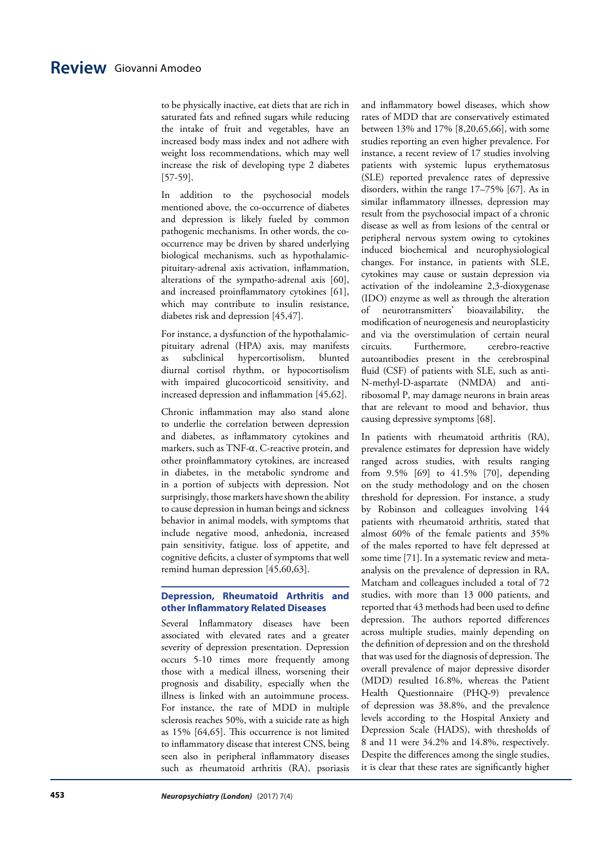to be physically inactive, eat diets that are rich in saturated fats and refined sugars while reducing the intake of fruit and vegetables, have an increased body mass index and not adhere with weight loss recommendations, which may well increase the risk of developing type 2 diabetes [57-59].

In addition to the psychosocial models mentioned above, the co-occurrence of diabetes and depression is likely fueled by common pathogenic mechanisms. In other words, the cooccurrence may be driven by shared underlying biological mechanisms, such as hypothalamicpituitary-adrenal axis activation, inflammation, alterations of the sympatho-adrenal axis [60], and increased proinflammatory cytokines [61], which may contribute to insulin resistance, diabetes risk and depression [45,47].

For instance, a dysfunction of the hypothalamicpituitary adrenal (HPA) axis, may manifests as subclinical hypercortisolism, blunted diurnal cortisol rhythm, or hypocortisolism with impaired glucocorticoid sensitivity, and increased depression and inflammation [45,62].

Chronic inflammation may also stand alone to underlie the correlation between depression and diabetes, as inflammatory cytokines and markers, such as TNF-α, C-reactive protein, and other proinflammatory cytokines, are increased in diabetes, in the metabolic syndrome and in a portion of subjects with depression. Not surprisingly, those markers have shown the ability to cause depression in human beings and sickness behavior in animal models, with symptoms that include negative mood, anhedonia, increased pain sensitivity, fatigue. loss of appetite, and cognitive deficits, a cluster of symptoms that well remind human depression [45,60,63].

### **Depression, Rheumatoid Arthritis and other Inflammatory Related Diseases**

Several Inflammatory diseases have been associated with elevated rates and a greater severity of depression presentation. Depression occurs 5-10 times more frequently among those with a medical illness, worsening their prognosis and disability, especially when the illness is linked with an autoimmune process. For instance, the rate of MDD in multiple sclerosis reaches 50%, with a suicide rate as high as 15% [64,65]. This occurrence is not limited to inflammatory disease that interest CNS, being seen also in peripheral inflammatory diseases such as rheumatoid arthritis (RA), psoriasis

and inflammatory bowel diseases, which show rates of MDD that are conservatively estimated between 13% and 17% [8,20,65,66], with some studies reporting an even higher prevalence. For instance, a recent review of 17 studies involving patients with systemic lupus erythematosus (SLE) reported prevalence rates of depressive disorders, within the range 17–75% [67]. As in similar inflammatory illnesses, depression may result from the psychosocial impact of a chronic disease as well as from lesions of the central or peripheral nervous system owing to cytokines induced biochemical and neurophysiological changes. For instance, in patients with SLE, cytokines may cause or sustain depression via activation of the indoleamine 2,3-dioxygenase (IDO) enzyme as well as through the alteration of neurotransmitters' bioavailability, the modification of neurogenesis and neuroplasticity and via the overstimulation of certain neural circuits. Furthermore, cerebro-reactive autoantibodies present in the cerebrospinal fluid (CSF) of patients with SLE, such as anti-N-methyl-D-aspartate (NMDA) and antiribosomal P, may damage neurons in brain areas that are relevant to mood and behavior, thus causing depressive symptoms [68].

In patients with rheumatoid arthritis (RA), prevalence estimates for depression have widely ranged across studies, with results ranging from 9.5% [69] to 41.5% [70], depending on the study methodology and on the chosen threshold for depression. For instance, a study by Robinson and colleagues involving 144 patients with rheumatoid arthritis, stated that almost 60% of the female patients and 35% of the males reported to have felt depressed at some time [71]. In a systematic review and metaanalysis on the prevalence of depression in RA, Matcham and colleagues included a total of 72 studies, with more than 13 000 patients, and reported that 43 methods had been used to define depression. The authors reported differences across multiple studies, mainly depending on the definition of depression and on the threshold that was used for the diagnosis of depression. The overall prevalence of major depressive disorder (MDD) resulted 16.8%, whereas the Patient Health Questionnaire (PHQ-9) prevalence of depression was 38.8%, and the prevalence levels according to the Hospital Anxiety and Depression Scale (HADS), with thresholds of 8 and 11 were 34.2% and 14.8%, respectively. Despite the differences among the single studies, it is clear that these rates are significantly higher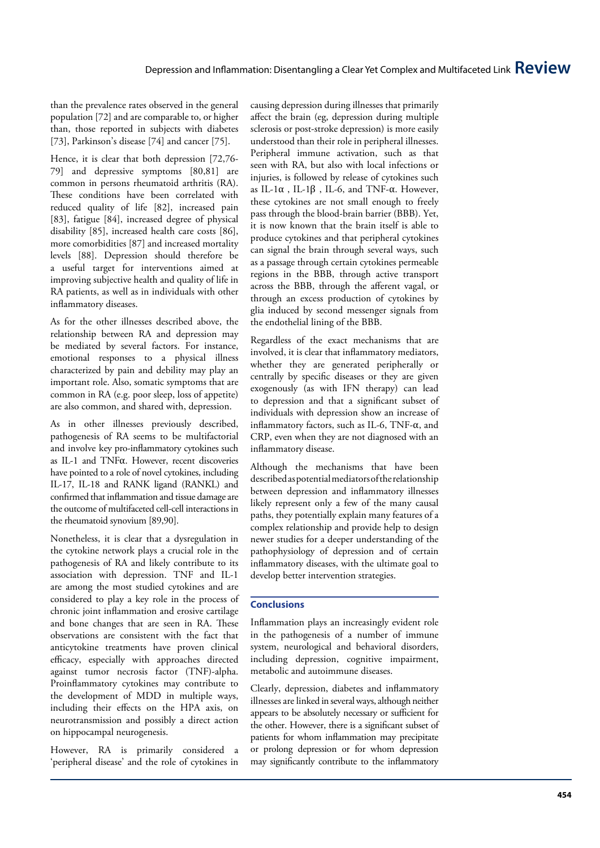than the prevalence rates observed in the general population [72] and are comparable to, or higher than, those reported in subjects with diabetes [73], Parkinson's disease [74] and cancer [75].

Hence, it is clear that both depression [72,76- 79] and depressive symptoms [80,81] are common in persons rheumatoid arthritis (RA). These conditions have been correlated with reduced quality of life [82], increased pain [83], fatigue [84], increased degree of physical disability [85], increased health care costs [86], more comorbidities [87] and increased mortality levels [88]. Depression should therefore be a useful target for interventions aimed at improving subjective health and quality of life in RA patients, as well as in individuals with other inflammatory diseases.

As for the other illnesses described above, the relationship between RA and depression may be mediated by several factors. For instance, emotional responses to a physical illness characterized by pain and debility may play an important role. Also, somatic symptoms that are common in RA (e.g. poor sleep, loss of appetite) are also common, and shared with, depression.

As in other illnesses previously described, pathogenesis of RA seems to be multifactorial and involve key pro-inflammatory cytokines such as IL-1 and TNF α. However, recent discoveries have pointed to a role of novel cytokines, including IL-17, IL-18 and RANK ligand (RANKL) and confirmed that inflammation and tissue damage are the outcome of multifaceted cell-cell interactions in the rheumatoid synovium [89,90].

Nonetheless, it is clear that a dysregulation in the cytokine network plays a crucial role in the pathogenesis of RA and likely contribute to its association with depression. TNF and IL-1 are among the most studied cytokines and are considered to play a key role in the process of chronic joint inflammation and erosive cartilage and bone changes that are seen in RA. These observations are consistent with the fact that anticytokine treatments have proven clinical efficacy, especially with approaches directed against tumor necrosis factor (TNF)-alpha. Proinflammatory cytokines may contribute to the development of MDD in multiple ways, including their effects on the HPA axis, on neurotransmission and possibly a direct action on hippocampal neurogenesis.

However, RA is primarily considered a 'peripheral disease' and the role of cytokines in causing depression during illnesses that primarily affect the brain (eg, depression during multiple sclerosis or post-stroke depression) is more easily understood than their role in peripheral illnesses. Peripheral immune activation, such as that seen with RA, but also with local infections or injuries, is followed by release of cytokines such as IL-1 $\alpha$ , IL-1 $\beta$ , IL-6, and TNF- $\alpha$ . However, these cytokines are not small enough to freely pass through the blood-brain barrier (BBB). Yet, it is now known that the brain itself is able to produce cytokines and that peripheral cytokines can signal the brain through several ways, such as a passage through certain cytokines permeable regions in the BBB, through active transport across the BBB, through the afferent vagal, or through an excess production of cytokines by glia induced by second messenger signals from the endothelial lining of the BBB.

Regardless of the exact mechanisms that are involved, it is clear that inflammatory mediators, whether they are generated peripherally or centrally by specific diseases or they are given exogenously (as with IFN therapy) can lead to depression and that a significant subset of individuals with depression show an increase of inflammatory factors, such as IL-6, TNF-α, and CRP, even when they are not diagnosed with an inflammatory disease.

Although the mechanisms that have been described as potential mediators of the relationship between depression and inflammatory illnesses likely represent only a few of the many causal paths, they potentially explain many features of a complex relationship and provide help to design newer studies for a deeper understanding of the pathophysiology of depression and of certain inflammatory diseases, with the ultimate goal to develop better intervention strategies.

# **Conclusions**

Inflammation plays an increasingly evident role in the pathogenesis of a number of immune system, neurological and behavioral disorders, including depression, cognitive impairment, metabolic and autoimmune diseases.

Clearly, depression, diabetes and inflammatory illnesses are linked in several ways, although neither appears to be absolutely necessary or sufficient for the other. However, there is a significant subset of patients for whom inflammation may precipitate or prolong depression or for whom depression may significantly contribute to the inflammatory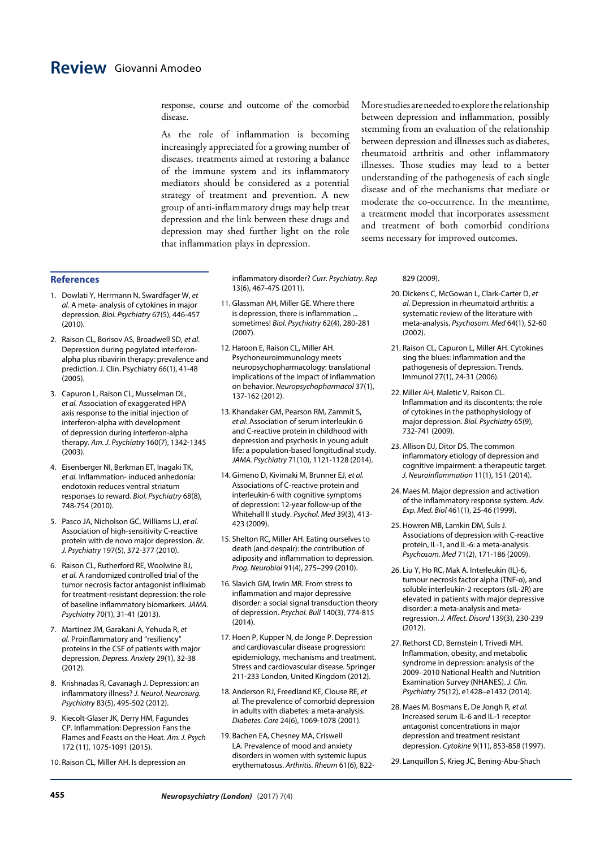response, course and outcome of the comorbid disease.

As the role of inflammation is becoming increasingly appreciated for a growing number of diseases, treatments aimed at restoring a balance of the immune system and its inflammatory mediators should be considered as a potential strategy of treatment and prevention. A new group of anti-inflammatory drugs may help treat depression and the link between these drugs and depression may shed further light on the role that [inflammation](http://www.livescience.com/52344-inflammation.html) plays in depression.

More studies are needed to explore the relationship between depression and inflammation, possibly stemming from an evaluation of the relationship between depression and illnesses such as diabetes, rheumatoid arthritis and other inflammatory illnesses. Those studies may lead to a better understanding of the pathogenesis of each single disease and of the mechanisms that mediate or moderate the co-occurrence. In the meantime, a treatment model that incorporates assessment and treatment of both comorbid conditions seems necessary for improved outcomes.

## **References**

- 1. Dowlati Y, Herrmann N, Swardfager W, *et al.* A meta- analysis of cytokines in major depression. *Biol. Psychiatry* 67(5), 446-457 (2010).
- 2. Raison CL, Borisov AS, Broadwell SD, *et al.* Depression during pegylated interferonalpha plus ribavirin therapy: prevalence and prediction. J. Clin. Psychiatry 66(1), 41-48 (2005).
- 3. Capuron L, Raison CL, Musselman DL, *et al.* Association of exaggerated HPA axis response to the initial injection of interferon-alpha with development of depression during interferon-alpha therapy. *Am. J. Psychiatry* 160(7), 1342-1345 (2003).
- 4. Eisenberger NI, Berkman ET, Inagaki TK, *et al.* Inflammation- induced anhedonia: endotoxin reduces ventral striatum responses to reward. *Biol. Psychiatry* 68(8), 748-754 (2010).
- 5. Pasco JA, Nicholson GC, Williams LJ, *et al.* Association of high-sensitivity C-reactive protein with de novo major depression. *Br. J. Psychiatry* 197(5), 372-377 (2010).
- 6. Raison CL, Rutherford RE, Woolwine BJ, *et al.* A randomized controlled trial of the tumor necrosis factor antagonist infliximab for treatment-resistant depression: the role of baseline inflammatory biomarkers. *JAMA. Psychiatry* 70(1), 31-41 (2013).
- 7. Martinez JM, Garakani A, Yehuda R, *et al.* Proinflammatory and "resiliency" proteins in the CSF of patients with major depression. *Depress. Anxiety* 29(1), 32-38 (2012).
- 8. Krishnadas R, Cavanagh J. Depression: an inflammatory illness? *J. Neurol. Neurosurg. Psychiatry* 83(5), 495-502 (2012).
- 9. Kiecolt-Glaser JK, Derry HM, Fagundes CP. Inflammation: Depression Fans the Flames and Feasts on the Heat. *Am. J. Psych* 172 (11), 1075-1091 (2015).
- 10. Raison CL, Miller AH. Is depression an

inflammatory disorder? *Curr. Psychiatry. Rep* 13(6), 467-475 (2011).

- 11. Glassman AH, Miller GE. Where there is depression, there is inflammation ... sometimes! *Biol. Psychiatry* 62(4), 280-281 (2007).
- 12. Haroon E, Raison CL, Miller AH. Psychoneuroimmunology meets neuropsychopharmacology: translational implications of the impact of inflammation on behavior. *Neuropsychopharmacol* 37(1), 137-162 (2012).
- 13. Khandaker GM, Pearson RM, Zammit S, *et al.* Association of serum interleukin 6 and C-reactive protein in childhood with depression and psychosis in young adult life: a population-based longitudinal study. *JAMA. Psychiatry* 71(10), 1121-1128 (2014).
- 14. Gimeno D, Kivimaki M, Brunner EJ, *et al.* Associations of C-reactive protein and interleukin-6 with cognitive symptoms of depression: 12-year follow-up of the Whitehall II study. *Psychol. Med* 39(3), 413- 423 (2009).
- 15. Shelton RC, Miller AH. Eating ourselves to death (and despair): the contribution of adiposity and inflammation to depression. *Prog. Neurobiol* 91(4), 275–299 (2010).
- 16. Slavich GM, Irwin MR. From stress to inflammation and major depressive disorder: a social signal transduction theory of depression. *Psychol. Bull* 140(3), 774-815 (2014).
- 17. Hoen P, Kupper N, de Jonge P. Depression and cardiovascular disease progression: epidemiology, mechanisms and treatment. Stress and cardiovascular disease. Springer 211-233 London, United Kingdom (2012).
- 18. Anderson RJ, Freedland KE, Clouse RE, *et al.* The prevalence of comorbid depression in adults with diabetes: a meta-analysis. *Diabetes. Care* 24(6), 1069-1078 (2001).
- 19. Bachen EA, Chesney MA, Criswell LA. Prevalence of mood and anxiety disorders in women with systemic lupus erythematosus. *Arthritis. Rheum* 61(6), 822-

#### 829 (2009).

- 20. Dickens C, McGowan L, Clark-Carter D, *et al.* Depression in rheumatoid arthritis: a systematic review of the literature with meta-analysis. *Psychosom. Med* 64(1), 52-60 (2002).
- 21. Raison CL, Capuron L, Miller AH. Cytokines sing the blues: inflammation and the pathogenesis of depression. Trends. Immunol 27(1), 24-31 (2006).
- 22. Miller AH, Maletic V, Raison CL. Inflammation and its discontents: the role of cytokines in the pathophysiology of major depression. *Biol. Psychiatry* 65(9), 732-741 (2009).
- 23. Allison DJ, Ditor DS. The common inflammatory etiology of depression and cognitive impairment: a therapeutic target. *J. Neuroinflammation* 11(1), 151 (2014).
- 24. Maes M. Major depression and activation of the inflammatory response system. *Adv. Exp. Med. Biol* 461(1), 25-46 (1999).
- 25. Howren MB, Lamkin DM, Suls J. Associations of depression with C-reactive protein, IL-1, and IL-6: a meta-analysis. *Psychosom. Med* 71(2), 171-186 (2009).
- 26. Liu Y, Ho RC, Mak A. Interleukin (IL)-6, tumour necrosis factor alpha (TNF-α), and soluble interleukin-2 receptors (sIL-2R) are elevated in patients with major depressive disorder: a meta-analysis and metaregression. *J. Affect. Disord* 139(3), 230-239 (2012).
- 27. Rethorst CD, Bernstein I, Trivedi MH. Inflammation, obesity, and metabolic syndrome in depression: analysis of the 2009–2010 National Health and Nutrition Examination Survey (NHANES). *J. Clin. Psychiatry* 75(12), e1428–e1432 (2014).
- 28. Maes M, Bosmans E, De Jongh R, *et al.* Increased serum IL-6 and IL-1 receptor antagonist concentrations in major depression and treatment resistant depression. *Cytokine* 9(11), 853-858 (1997).

29. Lanquillon S, Krieg JC, Bening-Abu-Shach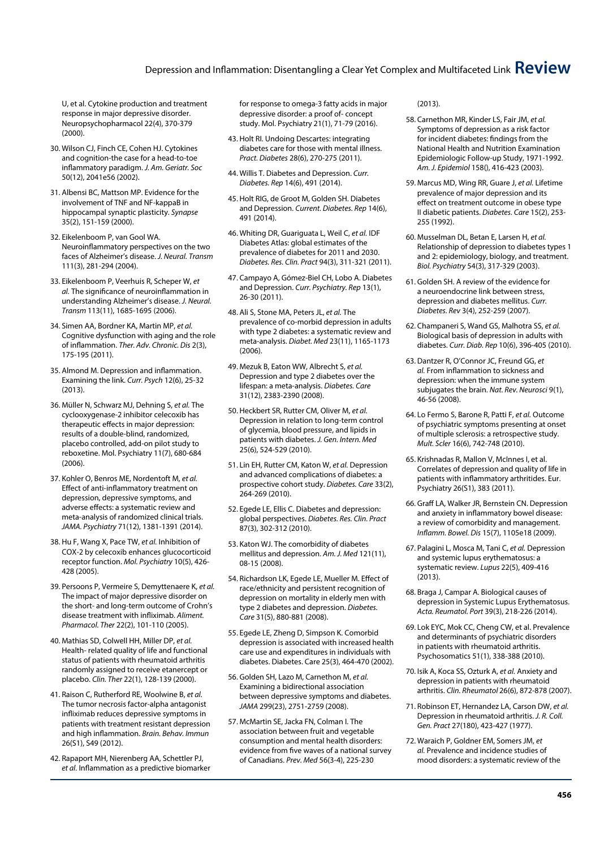# Depression and Inflammation: Disentangling a Clear Yet Complex and Multifaceted Link **Review**

U, et al. Cytokine production and treatment response in major depressive disorder. Neuropsychopharmacol 22(4), 370-379 (2000).

- 30. Wilson CJ, Finch CE, Cohen HJ. Cytokines and cognition-the case for a head-to-toe inflammatory paradigm. *J. Am. Geriatr. Soc* 50(12), 2041e56 (2002).
- 31. Albensi BC, Mattson MP. Evidence for the involvement of TNF and NF-kappaB in hippocampal synaptic plasticity. *Synapse* 35(2), 151-159 (2000).
- 32. Eikelenboom P, van Gool WA. Neuroinflammatory perspectives on the two faces of Alzheimer's disease. *J. Neural. Transm*  111(3), 281-294 (2004).
- 33. Eikelenboom P, Veerhuis R, Scheper W, *et al.* The significance of neuroinflammation in understanding Alzheimer's disease. *J. Neural. Transm* 113(11), 1685-1695 (2006).
- 34. Simen AA, Bordner KA, Martin MP, *et al.* Cognitive dysfunction with aging and the role of inflammation. *Ther. Adv. Chronic. Dis* 2(3), 175-195 (2011).
- 35. Almond M. Depression and inflammation. Examining the link. *Curr. Psych* 12(6), 25-32 (2013).
- 36. Müller N, Schwarz MJ, Dehning S, *et al.* The cyclooxygenase-2 inhibitor celecoxib has therapeutic effects in major depression: results of a double-blind, randomized, placebo controlled, add-on pilot study to reboxetine. Mol. Psychiatry 11(7), 680-684 (2006).
- 37. Kohler O, Benros ME, Nordentoft M, *et al.* Effect of anti-inflammatory treatment on depression, depressive symptoms, and adverse effects: a systematic review and meta-analysis of randomized clinical trials. *JAMA. Psychiatry* 71(12), 1381-1391 (2014).
- 38. Hu F, Wang X, Pace TW, *et al.* Inhibition of COX-2 by celecoxib enhances glucocorticoid receptor function. *Mol. Psychiatry* 10(5), 426- 428 (2005).
- 39. Persoons P, Vermeire S, Demyttenaere K, *et al.* The impact of major depressive disorder on the short- and long-term outcome of Crohn's disease treatment with infliximab. *Aliment. Pharmacol. Ther* 22(2), 101-110 (2005).
- 40. Mathias SD, Colwell HH, Miller DP, *et al.* Health- related quality of life and functional status of patients with rheumatoid arthritis randomly assigned to receive etanercept or placebo. *Clin. Ther* 22(1), 128-139 (2000).
- 41. Raison C, Rutherford RE, Woolwine B, *et al.*  The tumor necrosis factor-alpha antagonist infliximab reduces depressive symptoms in patients with treatment resistant depression and high inflammation. *Brain. Behav. Immun* 26(S1), S49 (2012).
- 42. Rapaport MH, Nierenberg AA, Schettler PJ, *et al.* Inflammation as a predictive biomarker

for response to omega-3 fatty acids in major depressive disorder: a proof of- concept study. Mol. Psychiatry 21(1), 71-79 (2016).

- 43. Holt RI. Undoing Descartes: integrating diabetes care for those with mental illness. *Pract. Diabetes* 28(6), 270-275 (2011).
- 44. Willis T. Diabetes and Depression. *Curr. Diabetes. Rep* 14(6), 491 (2014).
- 45. Holt RIG, de Groot M, Golden SH. Diabetes and Depression. *Current. Diabetes. Rep* 14(6), 491 (2014).
- 46. Whiting DR, Guariguata L, Weil C, *et al.* IDF Diabetes Atlas: global estimates of the prevalence of diabetes for 2011 and 2030. *Diabetes. Res. Clin. Pract* 94(3), 311-321 (2011).
- 47. Campayo A, Gómez-Biel CH, Lobo A. Diabetes and Depression. *Curr. Psychiatry. Rep* 13(1), 26-30 (2011).
- 48. Ali S, Stone MA, Peters JL, *et al.* The prevalence of co-morbid depression in adults with type 2 diabetes: a systematic review and meta-analysis. *Diabet. Med* 23(11), 1165-1173 (2006).
- 49. Mezuk B, Eaton WW, Albrecht S, *et al.* Depression and type 2 diabetes over the lifespan: a meta-analysis. *Diabetes. Care* 31(12), 2383-2390 (2008).
- 50. Heckbert SR, Rutter CM, Oliver M, *et al.* Depression in relation to long-term control of glycemia, blood pressure, and lipids in patients with diabetes. *J. Gen. Intern. Med* 25(6), 524-529 (2010).
- 51. Lin EH, Rutter CM, Katon W, *et al.* Depression and advanced complications of diabetes: a prospective cohort study. *Diabetes. Care* 33(2), 264-269 (2010).
- 52. Egede LE, Ellis C. Diabetes and depression: global perspectives. *Diabetes. Res. Clin. Pract* 87(3), 302-312 (2010).
- 53. Katon WJ. The comorbidity of diabetes mellitus and depression. *Am. J. Med* 121(11), 08-15 (2008).
- 54. Richardson LK, Egede LE, Mueller M. Effect of race/ethnicity and persistent recognition of depression on mortality in elderly men with type 2 diabetes and depression. *Diabetes. Care* 31(5), 880-881 (2008).
- 55. Egede LE, Zheng D, Simpson K. Comorbid depression is associated with increased health care use and expenditures in individuals with diabetes. Diabetes. Care 25(3), 464-470 (2002).
- 56. Golden SH, Lazo M, Carnethon M, *et al.* Examining a bidirectional association between depressive symptoms and diabetes. *JAMA* 299(23), 2751-2759 (2008).
- 57. McMartin SE, Jacka FN, Colman I. The association between fruit and vegetable consumption and mental health disorders: evidence from five waves of a national survey of Canadians. *Prev. Med* 56(3-4), 225-230

#### (2013).

- 58. Carnethon MR, Kinder LS, Fair JM, *et al.* Symptoms of depression as a risk factor for incident diabetes: findings from the National Health and Nutrition Examination Epidemiologic Follow-up Study, 1971-1992. *Am. J. Epidemiol* 158(), 416-423 (2003).
- 59. Marcus MD, Wing RR, Guare J, *et al.* Lifetime prevalence of major depression and its effect on treatment outcome in obese type II diabetic patients. *Diabetes. Care* 15(2), 253- 255 (1992).
- 60. Musselman DL, Betan E, Larsen H, *et al.* Relationship of depression to diabetes types 1 and 2: epidemiology, biology, and treatment. *Biol. Psychiatry* 54(3), 317-329 (2003).
- 61. Golden SH. A review of the evidence for a neuroendocrine link between stress, depression and diabetes mellitus. *Curr. Diabetes. Rev* 3(4), 252-259 (2007).
- 62. Champaneri S, Wand GS, Malhotra SS, *et al.* Biological basis of depression in adults with diabetes. *Curr. Diab. Rep* 10(6), 396-405 (2010).
- 63. Dantzer R, O'Connor JC, Freund GG, *et al.* From inflammation to sickness and depression: when the immune system subjugates the brain. *Nat. Rev. Neurosci* 9(1), 46-56 (2008).
- 64. Lo Fermo S, Barone R, Patti F, *et al.* Outcome of psychiatric symptoms presenting at onset of multiple sclerosis: a retrospective study. *Mult. Scler* 16(6), 742-748 (2010).
- 65. Krishnadas R, Mallon V, McInnes I, et al. Correlates of depression and quality of life in patients with inflammatory arthritides. Eur. Psychiatry 26(S1), 383 (2011).
- 66. Graff LA, Walker JR, Bernstein CN. Depression and anxiety in inflammatory bowel disease: a review of comorbidity and management. *Inflamm. Bowel. Dis* 15(7), 1105e18 (2009).
- 67. Palagini L, Mosca M, Tani C, *et al.* Depression and systemic lupus erythematosus: a systematic review. *Lupus* 22(5), 409-416  $(2013).$
- 68. Braga J, Campar A. Biological causes of depression in Systemic Lupus Erythematosus. *Acta. Reumatol. Port* 39(3), 218-226 (2014).
- 69. Lok EYC, Mok CC, Cheng CW, et al. Prevalence and determinants of psychiatric disorders in patients with rheumatoid arthritis. Psychosomatics 51(1), 338-388 (2010).
- 70. Isik A, Koca SS, Ozturk A, *et al.* Anxiety and depression in patients with rheumatoid arthritis. *Clin. Rheumatol* 26(6), 872-878 (2007).
- 71. Robinson ET, Hernandez LA, Carson DW, *et al.* Depression in rheumatoid arthritis. *J. R. Coll. Gen. Pract* 27(180), 423-427 (1977).
- 72. Waraich P, Goldner EM, Somers JM, *et al.* Prevalence and incidence studies of mood disorders: a systematic review of the